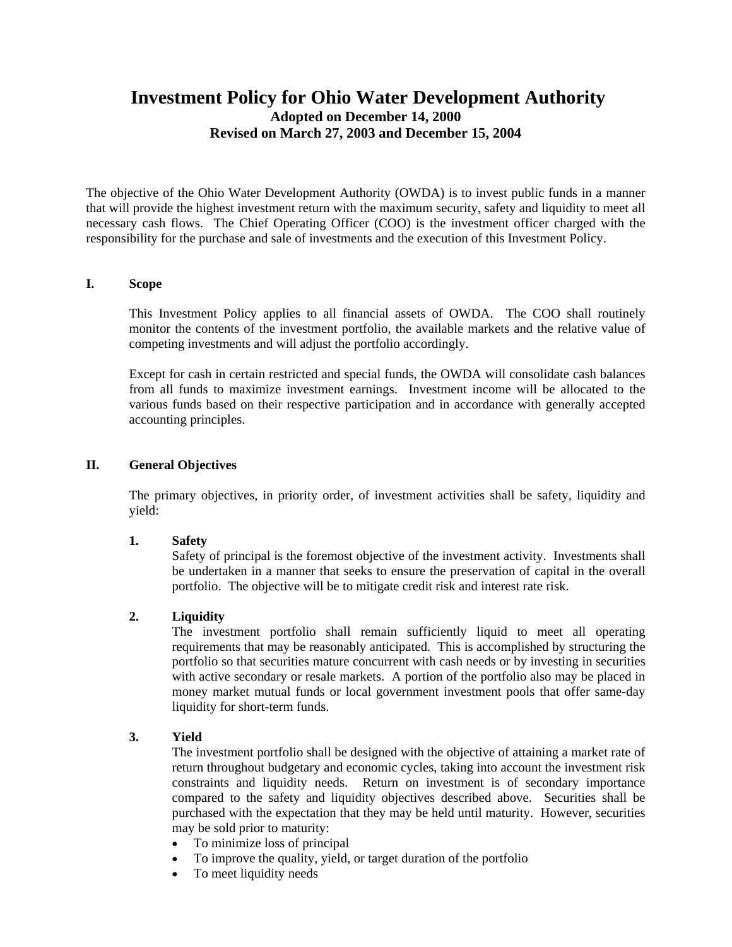# **Investment Policy for Ohio Water Development Authority Adopted on December 14, 2000 Revised on March 27, 2003 and December 15, 2004**

The objective of the Ohio Water Development Authority (OWDA) is to invest public funds in a manner that will provide the highest investment return with the maximum security, safety and liquidity to meet all necessary cash flows. The Chief Operating Officer (COO) is the investment officer charged with the responsibility for the purchase and sale of investments and the execution of this Investment Policy.

#### **I. Scope**

This Investment Policy applies to all financial assets of OWDA. The COO shall routinely monitor the contents of the investment portfolio, the available markets and the relative value of competing investments and will adjust the portfolio accordingly.

Except for cash in certain restricted and special funds, the OWDA will consolidate cash balances from all funds to maximize investment earnings. Investment income will be allocated to the various funds based on their respective participation and in accordance with generally accepted accounting principles.

#### **II. General Objectives**

The primary objectives, in priority order, of investment activities shall be safety, liquidity and yield:

#### **1. Safety**

Safety of principal is the foremost objective of the investment activity. Investments shall be undertaken in a manner that seeks to ensure the preservation of capital in the overall portfolio. The objective will be to mitigate credit risk and interest rate risk.

#### **2. Liquidity**

The investment portfolio shall remain sufficiently liquid to meet all operating requirements that may be reasonably anticipated. This is accomplished by structuring the portfolio so that securities mature concurrent with cash needs or by investing in securities with active secondary or resale markets. A portion of the portfolio also may be placed in money market mutual funds or local government investment pools that offer same-day liquidity for short-term funds.

#### **3. Yield**

The investment portfolio shall be designed with the objective of attaining a market rate of return throughout budgetary and economic cycles, taking into account the investment risk constraints and liquidity needs. Return on investment is of secondary importance compared to the safety and liquidity objectives described above. Securities shall be purchased with the expectation that they may be held until maturity. However, securities may be sold prior to maturity:

- To minimize loss of principal
- To improve the quality, yield, or target duration of the portfolio
- To meet liquidity needs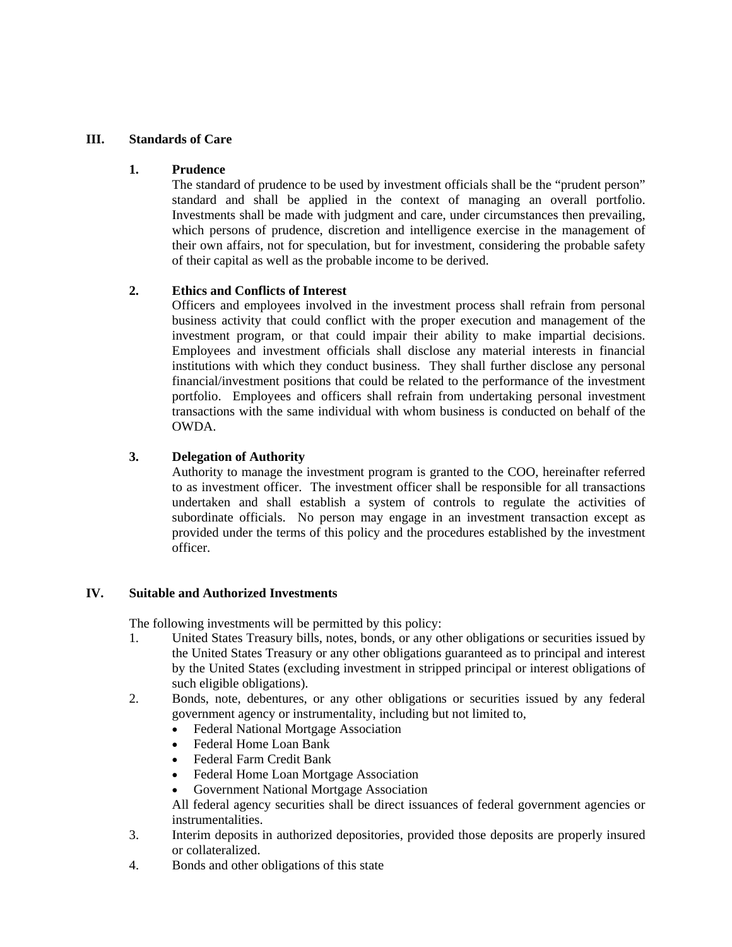### **III. Standards of Care**

#### **1. Prudence**

The standard of prudence to be used by investment officials shall be the "prudent person" standard and shall be applied in the context of managing an overall portfolio. Investments shall be made with judgment and care, under circumstances then prevailing, which persons of prudence, discretion and intelligence exercise in the management of their own affairs, not for speculation, but for investment, considering the probable safety of their capital as well as the probable income to be derived.

### **2. Ethics and Conflicts of Interest**

Officers and employees involved in the investment process shall refrain from personal business activity that could conflict with the proper execution and management of the investment program, or that could impair their ability to make impartial decisions. Employees and investment officials shall disclose any material interests in financial institutions with which they conduct business. They shall further disclose any personal financial/investment positions that could be related to the performance of the investment portfolio. Employees and officers shall refrain from undertaking personal investment transactions with the same individual with whom business is conducted on behalf of the OWDA.

### **3. Delegation of Authority**

Authority to manage the investment program is granted to the COO, hereinafter referred to as investment officer. The investment officer shall be responsible for all transactions undertaken and shall establish a system of controls to regulate the activities of subordinate officials. No person may engage in an investment transaction except as provided under the terms of this policy and the procedures established by the investment officer.

### **IV. Suitable and Authorized Investments**

The following investments will be permitted by this policy:

- 1. United States Treasury bills, notes, bonds, or any other obligations or securities issued by the United States Treasury or any other obligations guaranteed as to principal and interest by the United States (excluding investment in stripped principal or interest obligations of such eligible obligations).
- 2. Bonds, note, debentures, or any other obligations or securities issued by any federal government agency or instrumentality, including but not limited to,
	- Federal National Mortgage Association
	- Federal Home Loan Bank
	- Federal Farm Credit Bank
	- Federal Home Loan Mortgage Association
	- Government National Mortgage Association

All federal agency securities shall be direct issuances of federal government agencies or instrumentalities.

- 3. Interim deposits in authorized depositories, provided those deposits are properly insured or collateralized.
- 4. Bonds and other obligations of this state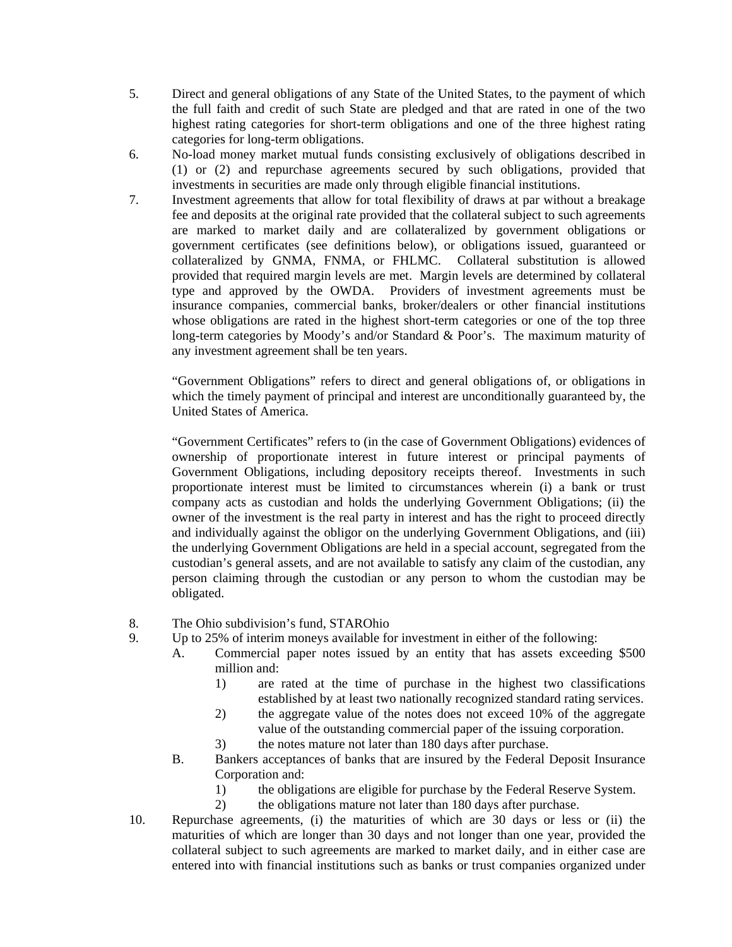- 5. Direct and general obligations of any State of the United States, to the payment of which the full faith and credit of such State are pledged and that are rated in one of the two highest rating categories for short-term obligations and one of the three highest rating categories for long-term obligations.
- 6. No-load money market mutual funds consisting exclusively of obligations described in (1) or (2) and repurchase agreements secured by such obligations, provided that investments in securities are made only through eligible financial institutions.
- 7. Investment agreements that allow for total flexibility of draws at par without a breakage fee and deposits at the original rate provided that the collateral subject to such agreements are marked to market daily and are collateralized by government obligations or government certificates (see definitions below), or obligations issued, guaranteed or collateralized by GNMA, FNMA, or FHLMC. Collateral substitution is allowed provided that required margin levels are met. Margin levels are determined by collateral type and approved by the OWDA. Providers of investment agreements must be insurance companies, commercial banks, broker/dealers or other financial institutions whose obligations are rated in the highest short-term categories or one of the top three long-term categories by Moody's and/or Standard & Poor's. The maximum maturity of any investment agreement shall be ten years.

"Government Obligations" refers to direct and general obligations of, or obligations in which the timely payment of principal and interest are unconditionally guaranteed by, the United States of America.

"Government Certificates" refers to (in the case of Government Obligations) evidences of ownership of proportionate interest in future interest or principal payments of Government Obligations, including depository receipts thereof. Investments in such proportionate interest must be limited to circumstances wherein (i) a bank or trust company acts as custodian and holds the underlying Government Obligations; (ii) the owner of the investment is the real party in interest and has the right to proceed directly and individually against the obligor on the underlying Government Obligations, and (iii) the underlying Government Obligations are held in a special account, segregated from the custodian's general assets, and are not available to satisfy any claim of the custodian, any person claiming through the custodian or any person to whom the custodian may be obligated.

- 8. The Ohio subdivision's fund, STAROhio
- 9. Up to 25% of interim moneys available for investment in either of the following:
	- A. Commercial paper notes issued by an entity that has assets exceeding \$500 million and:
		- 1) are rated at the time of purchase in the highest two classifications established by at least two nationally recognized standard rating services.
		- 2) the aggregate value of the notes does not exceed 10% of the aggregate value of the outstanding commercial paper of the issuing corporation.
		- 3) the notes mature not later than 180 days after purchase.
	- B. Bankers acceptances of banks that are insured by the Federal Deposit Insurance Corporation and:
		- 1) the obligations are eligible for purchase by the Federal Reserve System.
		- 2) the obligations mature not later than 180 days after purchase.
- 10. Repurchase agreements, (i) the maturities of which are 30 days or less or (ii) the maturities of which are longer than 30 days and not longer than one year, provided the collateral subject to such agreements are marked to market daily, and in either case are entered into with financial institutions such as banks or trust companies organized under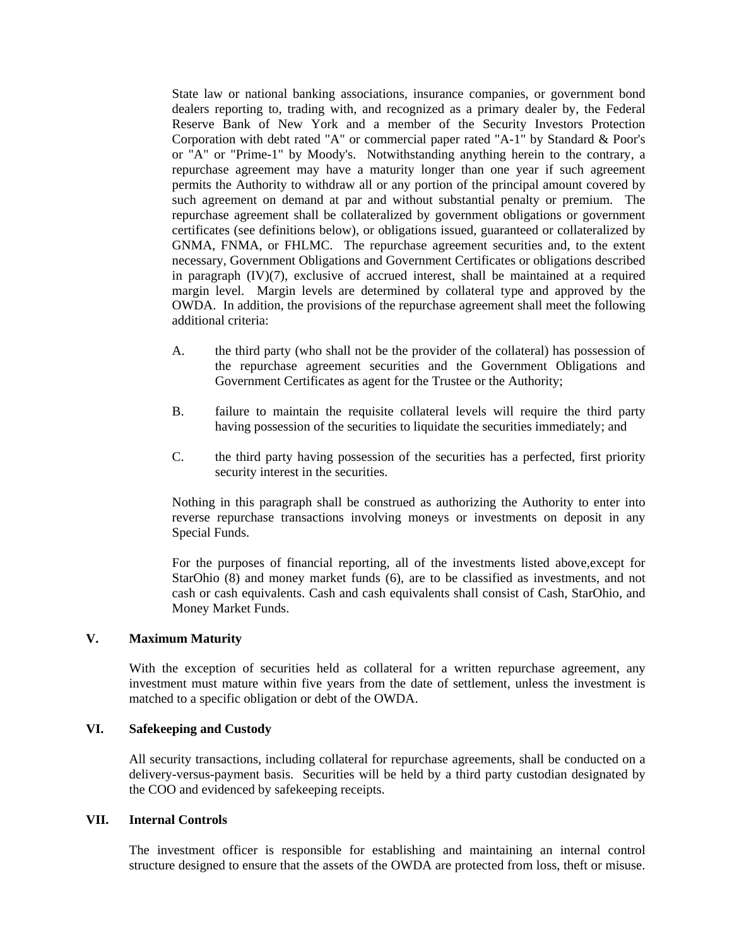State law or national banking associations, insurance companies, or government bond dealers reporting to, trading with, and recognized as a primary dealer by, the Federal Reserve Bank of New York and a member of the Security Investors Protection Corporation with debt rated "A" or commercial paper rated "A-1" by Standard & Poor's or "A" or "Prime-1" by Moody's. Notwithstanding anything herein to the contrary, a repurchase agreement may have a maturity longer than one year if such agreement permits the Authority to withdraw all or any portion of the principal amount covered by such agreement on demand at par and without substantial penalty or premium. The repurchase agreement shall be collateralized by government obligations or government certificates (see definitions below), or obligations issued, guaranteed or collateralized by GNMA, FNMA, or FHLMC. The repurchase agreement securities and, to the extent necessary, Government Obligations and Government Certificates or obligations described in paragraph (IV)(7), exclusive of accrued interest, shall be maintained at a required margin level. Margin levels are determined by collateral type and approved by the OWDA. In addition, the provisions of the repurchase agreement shall meet the following additional criteria:

- A. the third party (who shall not be the provider of the collateral) has possession of the repurchase agreement securities and the Government Obligations and Government Certificates as agent for the Trustee or the Authority;
- B. failure to maintain the requisite collateral levels will require the third party having possession of the securities to liquidate the securities immediately; and
- C. the third party having possession of the securities has a perfected, first priority security interest in the securities.

Nothing in this paragraph shall be construed as authorizing the Authority to enter into reverse repurchase transactions involving moneys or investments on deposit in any Special Funds.

For the purposes of financial reporting, all of the investments listed above,except for StarOhio (8) and money market funds (6), are to be classified as investments, and not cash or cash equivalents. Cash and cash equivalents shall consist of Cash, StarOhio, and Money Market Funds.

### **V. Maximum Maturity**

With the exception of securities held as collateral for a written repurchase agreement, any investment must mature within five years from the date of settlement, unless the investment is matched to a specific obligation or debt of the OWDA.

#### **VI. Safekeeping and Custody**

All security transactions, including collateral for repurchase agreements, shall be conducted on a delivery-versus-payment basis. Securities will be held by a third party custodian designated by the COO and evidenced by safekeeping receipts.

#### **VII. Internal Controls**

The investment officer is responsible for establishing and maintaining an internal control structure designed to ensure that the assets of the OWDA are protected from loss, theft or misuse.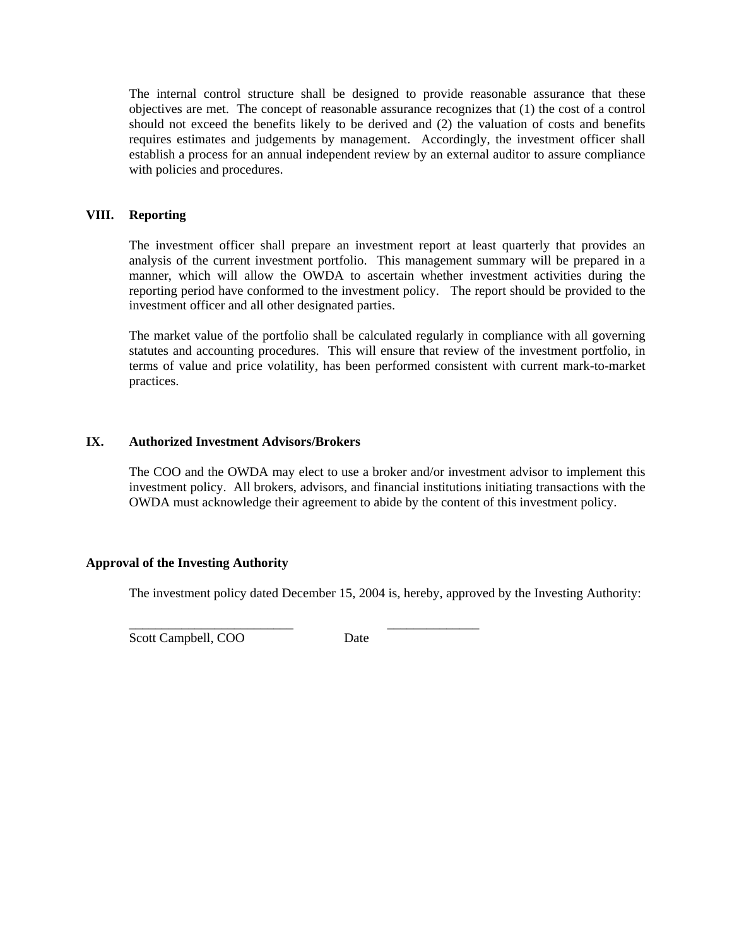The internal control structure shall be designed to provide reasonable assurance that these objectives are met. The concept of reasonable assurance recognizes that (1) the cost of a control should not exceed the benefits likely to be derived and (2) the valuation of costs and benefits requires estimates and judgements by management. Accordingly, the investment officer shall establish a process for an annual independent review by an external auditor to assure compliance with policies and procedures.

#### **VIII. Reporting**

The investment officer shall prepare an investment report at least quarterly that provides an analysis of the current investment portfolio. This management summary will be prepared in a manner, which will allow the OWDA to ascertain whether investment activities during the reporting period have conformed to the investment policy. The report should be provided to the investment officer and all other designated parties.

The market value of the portfolio shall be calculated regularly in compliance with all governing statutes and accounting procedures. This will ensure that review of the investment portfolio, in terms of value and price volatility, has been performed consistent with current mark-to-market practices.

#### **IX. Authorized Investment Advisors/Brokers**

The COO and the OWDA may elect to use a broker and/or investment advisor to implement this investment policy. All brokers, advisors, and financial institutions initiating transactions with the OWDA must acknowledge their agreement to abide by the content of this investment policy.

#### **Approval of the Investing Authority**

The investment policy dated December 15, 2004 is, hereby, approved by the Investing Authority:

Scott Campbell, COO Date

 $\overline{\phantom{a}}$  ,  $\overline{\phantom{a}}$  ,  $\overline{\phantom{a}}$  ,  $\overline{\phantom{a}}$  ,  $\overline{\phantom{a}}$  ,  $\overline{\phantom{a}}$  ,  $\overline{\phantom{a}}$  ,  $\overline{\phantom{a}}$  ,  $\overline{\phantom{a}}$  ,  $\overline{\phantom{a}}$  ,  $\overline{\phantom{a}}$  ,  $\overline{\phantom{a}}$  ,  $\overline{\phantom{a}}$  ,  $\overline{\phantom{a}}$  ,  $\overline{\phantom{a}}$  ,  $\overline{\phantom{a}}$